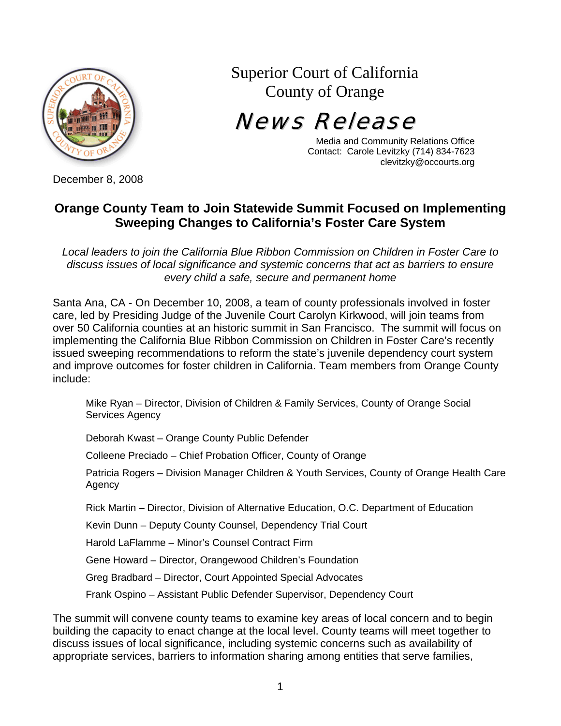

Superior Court of California County of Orange

News Release

Media and Community Relations Office Contact: Carole Levitzky (714) 834-7623 clevitzky@occourts.org

December 8, 2008

## **Orange County Team to Join Statewide Summit Focused on Implementing Sweeping Changes to California's Foster Care System**

*Local leaders to join the California Blue Ribbon Commission on Children in Foster Care to discuss issues of local significance and systemic concerns that act as barriers to ensure every child a safe, secure and permanent home* 

Santa Ana, CA - On December 10, 2008, a team of county professionals involved in foster care, led by Presiding Judge of the Juvenile Court Carolyn Kirkwood, will join teams from over 50 California counties at an historic summit in San Francisco. The summit will focus on implementing the California Blue Ribbon Commission on Children in Foster Care's recently issued sweeping recommendations to reform the state's juvenile dependency court system and improve outcomes for foster children in California. Team members from Orange County include:

Mike Ryan – Director, Division of Children & Family Services, County of Orange Social Services Agency

Deborah Kwast – Orange County Public Defender

Colleene Preciado – Chief Probation Officer, County of Orange

Patricia Rogers – Division Manager Children & Youth Services, County of Orange Health Care Agency

Rick Martin – Director, Division of Alternative Education, O.C. Department of Education

Kevin Dunn – Deputy County Counsel, Dependency Trial Court

Harold LaFlamme – Minor's Counsel Contract Firm

Gene Howard – Director, Orangewood Children's Foundation

Greg Bradbard – Director, Court Appointed Special Advocates

Frank Ospino – Assistant Public Defender Supervisor, Dependency Court

The summit will convene county teams to examine key areas of local concern and to begin building the capacity to enact change at the local level. County teams will meet together to discuss issues of local significance, including systemic concerns such as availability of appropriate services, barriers to information sharing among entities that serve families,